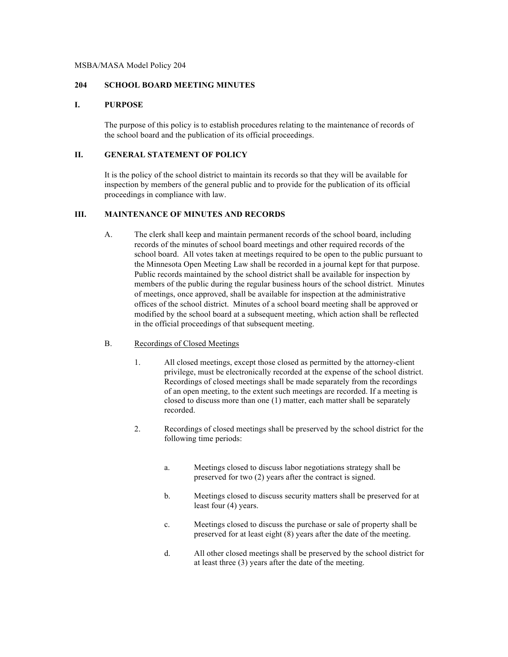#### MSBA/MASA Model Policy 204

#### **204 SCHOOL BOARD MEETING MINUTES**

## **I. PURPOSE**

The purpose of this policy is to establish procedures relating to the maintenance of records of the school board and the publication of its official proceedings.

### **II. GENERAL STATEMENT OF POLICY**

It is the policy of the school district to maintain its records so that they will be available for inspection by members of the general public and to provide for the publication of its official proceedings in compliance with law.

# **III. MAINTENANCE OF MINUTES AND RECORDS**

- A. The clerk shall keep and maintain permanent records of the school board, including records of the minutes of school board meetings and other required records of the school board. All votes taken at meetings required to be open to the public pursuant to the Minnesota Open Meeting Law shall be recorded in a journal kept for that purpose. Public records maintained by the school district shall be available for inspection by members of the public during the regular business hours of the school district. Minutes of meetings, once approved, shall be available for inspection at the administrative offices of the school district. Minutes of a school board meeting shall be approved or modified by the school board at a subsequent meeting, which action shall be reflected in the official proceedings of that subsequent meeting.
- B. Recordings of Closed Meetings
	- 1. All closed meetings, except those closed as permitted by the attorney-client privilege, must be electronically recorded at the expense of the school district. Recordings of closed meetings shall be made separately from the recordings of an open meeting, to the extent such meetings are recorded. If a meeting is closed to discuss more than one (1) matter, each matter shall be separately recorded.
	- 2. Recordings of closed meetings shall be preserved by the school district for the following time periods:
		- a. Meetings closed to discuss labor negotiations strategy shall be preserved for two (2) years after the contract is signed.
		- b. Meetings closed to discuss security matters shall be preserved for at least four (4) years.
		- c. Meetings closed to discuss the purchase or sale of property shall be preserved for at least eight (8) years after the date of the meeting.
		- d. All other closed meetings shall be preserved by the school district for at least three (3) years after the date of the meeting.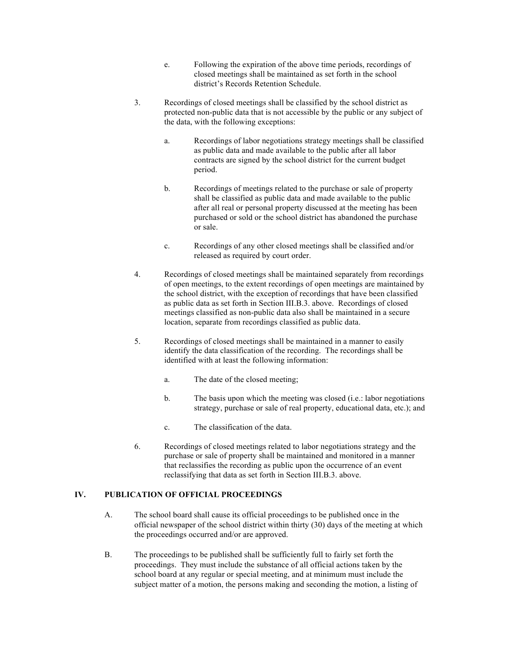- e. Following the expiration of the above time periods, recordings of closed meetings shall be maintained as set forth in the school district's Records Retention Schedule.
- 3. Recordings of closed meetings shall be classified by the school district as protected non-public data that is not accessible by the public or any subject of the data, with the following exceptions:
	- a. Recordings of labor negotiations strategy meetings shall be classified as public data and made available to the public after all labor contracts are signed by the school district for the current budget period.
	- b. Recordings of meetings related to the purchase or sale of property shall be classified as public data and made available to the public after all real or personal property discussed at the meeting has been purchased or sold or the school district has abandoned the purchase or sale.
	- c. Recordings of any other closed meetings shall be classified and/or released as required by court order.
- 4. Recordings of closed meetings shall be maintained separately from recordings of open meetings, to the extent recordings of open meetings are maintained by the school district, with the exception of recordings that have been classified as public data as set forth in Section III.B.3. above. Recordings of closed meetings classified as non-public data also shall be maintained in a secure location, separate from recordings classified as public data.
- 5. Recordings of closed meetings shall be maintained in a manner to easily identify the data classification of the recording. The recordings shall be identified with at least the following information:
	- a. The date of the closed meeting;
	- b. The basis upon which the meeting was closed (i.e.: labor negotiations strategy, purchase or sale of real property, educational data, etc.); and
	- c. The classification of the data.
- 6. Recordings of closed meetings related to labor negotiations strategy and the purchase or sale of property shall be maintained and monitored in a manner that reclassifies the recording as public upon the occurrence of an event reclassifying that data as set forth in Section III.B.3. above.

## **IV. PUBLICATION OF OFFICIAL PROCEEDINGS**

- A. The school board shall cause its official proceedings to be published once in the official newspaper of the school district within thirty (30) days of the meeting at which the proceedings occurred and/or are approved.
- B. The proceedings to be published shall be sufficiently full to fairly set forth the proceedings. They must include the substance of all official actions taken by the school board at any regular or special meeting, and at minimum must include the subject matter of a motion, the persons making and seconding the motion, a listing of